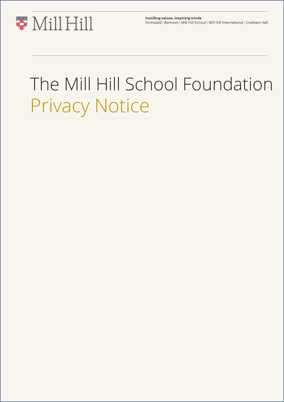

Instilling values, inspiring minds Grimsdell | Belmont | Mill Hill School | Mill Hill International | Cobham Hall

# The Mill Hill School Foundation Privacy Notice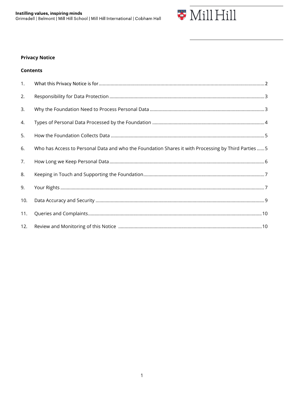

## **Privacy Notice**

| Contents |  |  |
|----------|--|--|

| 1.  |                                                                                                     |  |
|-----|-----------------------------------------------------------------------------------------------------|--|
| 2.  |                                                                                                     |  |
| 3.  |                                                                                                     |  |
| 4.  |                                                                                                     |  |
| 5.  |                                                                                                     |  |
| 6.  | Who has Access to Personal Data and who the Foundation Shares it with Processing by Third Parties 5 |  |
| 7.  |                                                                                                     |  |
| 8.  |                                                                                                     |  |
| 9.  |                                                                                                     |  |
| 10. |                                                                                                     |  |
| 11. |                                                                                                     |  |
| 12. |                                                                                                     |  |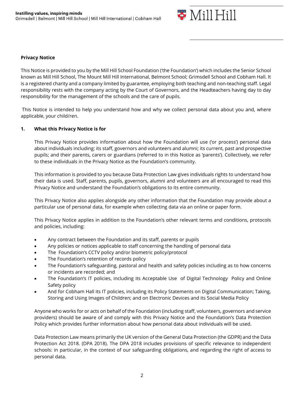

#### **Privacy Notice**

This Notice is provided to you by the Mill Hill School Foundation ('the Foundation') which includes the Senior School known as Mill Hill School, The Mount Mill Hill International, Belmont School; Grimsdell School and Cobham Hall. It is a registered charity and a company limited by guarantee, employing both teaching and non-teaching staff. Legal responsibility rests with the company acting by the Court of Governors, and the Headteachers having day to day responsibility for the management of the schools and the care of pupils.

This Notice is intended to help you understand how and why we collect personal data about you and, where applicable, your child/ren.

#### **1. What this Privacy Notice is for**

This Privacy Notice provides information about how the Foundation will use ('or process') personal data about individuals including: its staff, governors and volunteers and alumni; its current, past and prospective pupils; and their parents, carers or guardians (referred to in this Notice as 'parents'). Collectively, we refer to these individuals in the Privacy Notice as the Foundation's community.

This information is provided to you because Data Protection Law gives individuals rights to understand how their data is used. Staff, parents, pupils, governors, alumni and volunteers are all encouraged to read this Privacy Notice and understand the Foundation's obligations to its entire community.

This Privacy Notice also applies alongside any other information that the Foundation may provide about a particular use of personal data, for example when collecting data via an online or paper form.

This Privacy Notice applies in addition to the Foundation's other relevant terms and conditions, protocols and policies, including:

- Any contract between the Foundation and its staff, parents or pupils
- Any policies or notices applicable to staff concerning the handling of personal data
- The Foundation's CCTV policy and/or biometric policy/protocol
- The Foundation's retention of records policy
- The Foundation's safeguarding, pastoral and health and safety policies including as to how concerns or incidents are recorded; and
- The Foundation's IT policies, including its Acceptable Use of Digital Technology Policy and Online Safety policy
- And for Cobham Hall its IT policies, including its Policy Statements on Digital Communication; Taking, Storing and Using Images of Children; and on Electronic Devices and its Social Media Policy

Anyone who works for or acts on behalf of the Foundation (including staff, volunteers, governors and service providers) should be aware of and comply with this Privacy Notice and the Foundation's Data Protection Policy which provides further information about how personal data about individuals will be used.

Data Protection Law means primarily the UK version of the General Data Protection (the GDPR) and the Data Protection Act 2018. (DPA 2018). The DPA 2018 includes provisions of specific relevance to independent schools: in particular, in the context of our safeguarding obligations, and regarding the right of access to personal data.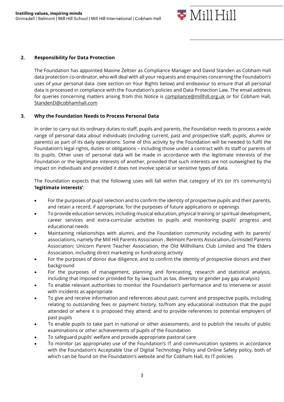

#### **2. Responsibility for Data Protection**

The Foundation has appointed Maxine Zeltser as Compliance Manager and David Standen as Cobham Hall data protection co-ordinator, who will deal with all your requests and enquiries concerning the Foundation's uses of your personal data (see section on Your Rights below) and endeavour to ensure that all personal data is processed in compliance with the Foundation's policies and Data Protection Law. The email address for queries concerning matters arising from this Notice is [compliance@millhill.org.uk](mailto:compliance@millhill.org.uk) or for Cobham Hall, StandenD@cobhamhall.com

#### **3. Why the Foundation Needs to Process Personal Data**

In order to carry out its ordinary duties to staff, pupils and parents, the Foundation needs to process a wide range of personal data about individuals (including current, past and prospective staff, pupils, alumni or parents) as part of its daily operations. Some of this activity by the Foundation will be needed to fulfil the Foundation's legal rights, duties or obligations – including those under a contract with its staff or parents of its pupils. Other uses of personal data will be made in accordance with the legitimate interests of the Foundation or the legitimate interests of another, provided that such interests are not outweighed by the impact on individuals and provided it does not involve special or sensitive types of data.

The Foundation expects that the following uses will fall within that category of it's (or it's community's) '**legitimate interests'**:

- For the purposes of pupil selection and to confirm the identity of prospective pupils and their parents, and retain a record, if appropriate, for the purposes of future applications or openings
- To provide education services, including musical education, physical training or spiritual development, career services and extra-curricular activities to pupils and monitoring pupils' progress and educational needs
- Maintaining relationships with alumni, and the Foundation community including with its parents' associations, namely the Mill Hill Parents Association , Belmont Parents Association, Grimsdell Parents Association; Unicorn Parent Teacher Association, the Old Millhillians Club Limited and The Elders Association, including direct marketing or fundraising activity
- For the purposes of donor due diligence, and to confirm the identity of prospective donors and their background
- For the purposes of management, planning and forecasting, research and statistical analysis, including that imposed or provided for by law (such as tax, diversity or gender pay gap analysis)
- To enable relevant authorities to monitor the Foundation's performance and to intervene or assist with incidents as appropriate
- To give and receive information and references about past, current and prospective pupils, including relating to outstanding fees or payment history, to/from any educational institution that the pupil attended or where it is proposed they attend; and to provide references to potential employers of past pupils
- To enable pupils to take part in national or other assessments, and to publish the results of public examinations or other achievements of pupils of the Foundation
- To safeguard pupils' welfare and provide appropriate pastoral care
- To monitor (as appropriate) use of the Foundation's IT and communication systems in accordance with the Foundation's Acceptable Use of Digital Technology Policy and Online Safety policy, both of which can be found on the Foundation's website and for Cobham Hall, its IT policies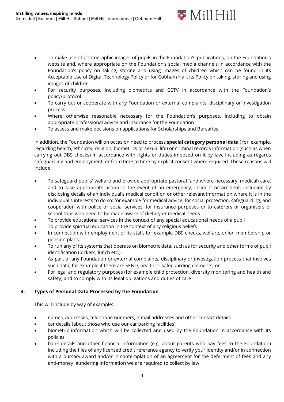

- To make use of photographic images of pupils in the Foundation's publications, on the Foundation's website and, where appropriate on the Foundation's social media channels in accordance with the Foundation's policy on taking, storing and using images of children which can be found in its Acceptable Use of Digital Technology Policy or for Cobham Hall, its Policy on taking, storing and using images of children
- For security purposes, including biometrics and CCTV in accordance with the Foundation's policy/protocol
- To carry out or cooperate with any Foundation or external complaints, disciplinary or investigation process
- Where otherwise reasonable necessary for the Foundation's purposes, including to obtain appropriate professional advice and insurance for the Foundation
- To assess and make decisions on applications for Scholarships and Bursaries

In addition, the Foundation will on occasion need to process **special category personal data** ( for example, regarding health, ethnicity, religion, biometrics or sexual life) or criminal records information (such as when carrying out DBS checks) in accordance with rights or duties imposed on it by law, including as regards safeguarding and employment, or from time to time by explicit consent where required. These reasons will include:

- To safeguard pupils' welfare and provide appropriate pastoral (and where necessary, medical) care, and to take appropriate action in the event of an emergency, incident or accident, including by disclosing details of an individual's medical condition or other relevant information where it is in the individual's interests to do so: for example for medical advice, for social protection, safeguarding, and cooperation with police or social services, for insurance purposes or to caterers or organisers of school trips who need to be made aware of dietary or medical needs
- To provide educational services in the context of any special educational needs of a pupil
- To provide spiritual education in the context of any religious beliefs
- In connection with employment of its staff, for example DBS checks, welfare, union membership or pension plans
- To run any of its systems that operate on biometric data, such as for security and other forms of pupil identification (lockers, lunch etc.)
- As part of any Foundation or external complaints, disciplinary or investigation process that involves such data, for example if there are SEND, health or safeguarding elements; or
- For legal and regulatory purposes (for example child protection, diversity monitoring and health and safety) and to comply with its legal obligations and duties of care

### **4. Types of Personal Data Processed by the Foundation**

This will include by way of example:

- names, addresses, telephone numbers, e-mail addresses and other contact details
- car details (about those who use our car parking facilities)
- biometric information which will be collected and used by the Foundation in accordance with its policies
- bank details and other financial information (e.g. about parents who pay fees to the Foundation) including the files of any licensed credit reference agency to verify your identity and/or in connection with a bursary award and/or in contemplation of an agreement for the deferment of fees and any anti-money laundering information we are required to collect by law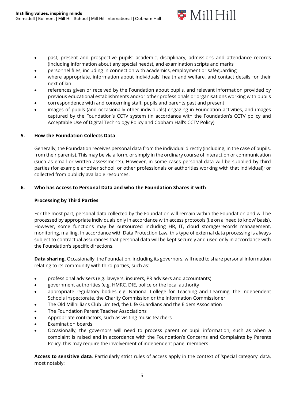

- past, present and prospective pupils' academic, disciplinary, admissions and attendance records (including information about any special needs), and examination scripts and marks
- personnel files, including in connection with academics, employment or safeguarding
- where appropriate, information about individuals' health and welfare, and contact details for their next of kin
- references given or received by the Foundation about pupils, and relevant information provided by previous educational establishments and/or other professionals or organisations working with pupils
- correspondence with and concerning staff, pupils and parents past and present
- images of pupils (and occasionally other individuals) engaging in Foundation activities, and images captured by the Foundation's CCTV system (in accordance with the Foundation's CCTV policy and Acceptable Use of Digital Technology Policy and Cobham Hall's CCTV Policy)

#### **5. How the Foundation Collects Data**

Generally, the Foundation receives personal data from the individual directly (including, in the case of pupils, from their parents). This may be via a form, or simply in the ordinary course of interaction or communication (such as email or written assessments). However, in some cases personal data will be supplied by third parties (for example another school, or other professionals or authorities working with that individual); or collected from publicly available resources.

#### **6. Who has Access to Personal Data and who the Foundation Shares it with**

#### **Processing by Third Parties**

For the most part, personal data collected by the Foundation will remain within the Foundation and will be processed by appropriate individuals only in accordance with access protocols (i.e on a 'need to know' basis). However, some functions may be outsourced including HR, IT, cloud storage/records management, monitoring, mailing. In accordance with Data Protection Law, this type of external data processing is always subject to contractual assurances that personal data will be kept securely and used only in accordance with the Foundation's specific directions.

**Data sharing.** Occasionally, the Foundation, including its governors, will need to share personal information relating to its community with third parties, such as:

- professional advisers (e.g. lawyers, insurers, PR advisers and accountants)
- government authorities (e.g. HMRC, DfE, police or the local authority
- appropriate regulatory bodies e.g. National College for Teaching and Learning, the [Independent](https://www.isi.net/)  [Schools Inspectorate,](https://www.isi.net/) the Charity Commission or the Information Commissioner
- The Old Millhillians Club Limited, the Life Guardians and the Elders Association
- The Foundation Parent Teacher Associations
- Appropriate contractors, such as visiting music teachers
- Examination boards
- Occasionally, the governors will need to process parent or pupil information, such as when a complaint is raised and in accordance with the Foundation's Concerns and Complaints by Parents Policy, this may require the involvement of independent panel members

**Access to sensitive data**. Particularly strict rules of access apply in the context of 'special category' data, most notably: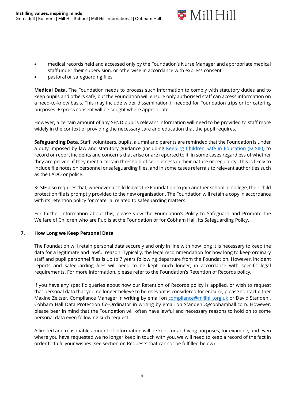

- medical records held and accessed only by the Foundation's Nurse Manager and appropriate medical staff under their supervision, or otherwise in accordance with express consent
- pastoral or safeguarding files

**Medical Data**. The Foundation needs to process such information to comply with statutory duties and to keep pupils and others safe, but the Foundation will ensure only authorised staff can access information on a need-to-know basis. This may include wider dissemination if needed for Foundation trips or for catering purposes. Express consent will be sought where appropriate.

However, a certain amount of any SEND pupil's relevant information will need to be provided to staff more widely in the context of providing the necessary care and education that the pupil requires.

**Safeguarding Data.** Staff, volunteers, pupils, alumni and parents are reminded that the Foundation is under a duty imposed by law and statutory guidance (including Keeping Children Safe in Education (KCSIE)) to record or report incidents and concerns that arise or are reported to it, in some cases regardless of whether they are proven, if they meet a certain threshold of seriousness in their nature or regularity. This is likely to include file notes on personnel or safeguarding files, and in some cases referrals to relevant authorities such as the LADO or police.

KCSIE also requires that, whenever a child leaves the Foundation to join another school or college, their child protection file is promptly provided to the new organisation. The Foundation will retain a copy in accordance with its retention policy for material related to safeguarding matters.

For further information about this, please view the Foundation's Policy to Safeguard and Promote the Welfare of Children who are Pupils at the Foundation or for Cobham Hall, its Safeguarding Policy.

#### **7. How Long we Keep Personal Data**

The Foundation will retain personal data securely and only in line with how long it is necessary to keep the data for a legitimate and lawful reason. Typically, the legal recommendation for how long to keep ordinary staff and pupil personnel files is up to 7 years following departure from the Foundation. However, incident reports and safeguarding files will need to be kept much longer, in accordance with specific legal requirements. For more information, please refer to the Foundation's Retention of Records policy.

If you have any specific queries about how our Retention of Records policy is applied, or wish to request that personal data that you no longer believe to be relevant is considered for erasure, please contact either Maxine Zeltser, Compliance Manager in writing by email on [compliance@millhill.org.uk](mailto:compliance@millhill.org.uk) or David Standen, Cobham Hall Data Protection Co-Ordinator in writing by email on StandenD@cobhamhall.com. However, please bear in mind that the Foundation will often have lawful and necessary reasons to hold on to some personal data even following such request**.**

A limited and reasonable amount of information will be kept for archiving purposes, for example, and even where you have requested we no longer keep in touch with you, we will need to keep a record of the fact in order to fulfil your wishes (see section on Requests that cannot be fulfilled below).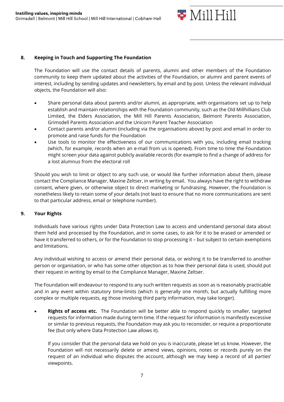

#### **8. Keeping in Touch and Supporting The Foundation**

The Foundation will use the contact details of parents, alumni and other members of the Foundation community to keep them updated about the activities of the Foundation, or alumni and parent events of interest, including by sending updates and newsletters, by email and by post. Unless the relevant individual objects, the Foundation will also:

- Share personal data about parents and/or alumni, as appropriate, with organisations set up to help establish and maintain relationships with the Foundation community, such as the Old Millhillians Club Limited, the Elders Association, the Mill Hill Parents Association, Belmont Parents Association, Grimsdell Parents Association and the Unicorn Parent Teacher Association
- Contact parents and/or alumni (including via the organisations above) by post and email in order to promote and raise funds for the Foundation
- Use tools to monitor the effectiveness of our communications with you, including email tracking (which, for example, records when an e-mail from us is opened). From time to time the Foundation might screen your data against publicly available records (for example to find a change of address for a lost alumnus from the electoral roll

Should you wish to limit or object to any such use, or would like further information about them, please contact the Compliance Manager, Maxine Zeltser, in writing by email. You always have the right to withdraw consent, where given, or otherwise object to direct marketing or fundraising. However, the Foundation is nonetheless likely to retain some of your details (not least to ensure that no more communications are sent to that particular address, email or telephone number).

#### **9. Your Rights**

Individuals have various rights under Data Protection Law to access and understand personal data about them held and processed by the Foundation, and in some cases, to ask for it to be erased or amended or have it transferred to others, or for the Foundation to stop processing it – but subject to certain exemptions and limitations.

Any individual wishing to access or amend their personal data, or wishing it to be transferred to another person or organisation, or who has some other objection as to how their personal data is used, should put their request in writing by email to the Compliance Manager, Maxine Zeltser.

The Foundation will endeavour to respond to any such written requests as soon as is reasonably practicable and in any event within statutory time-limits (which is generally one month, but actually fulfilling more complex or multiple requests, eg those involving third party information, may take longer).

• **Rights of access etc.** The Foundation will be better able to respond quickly to smaller, targeted requests for information made during term time. If the request for information is manifestly excessive or similar to previous requests, the Foundation may ask you to reconsider, or require a proportionate fee (but only where Data Protection Law allows it).

If you consider that the personal data we hold on you is inaccurate, please let us know. However, the Foundation will not necessarily delete or amend views, opinions, notes or records purely on the request of an individual who disputes the account, although we may keep a record of all parties' viewpoints.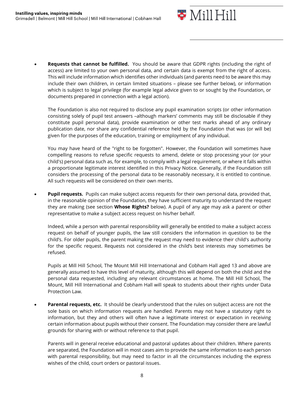

• **Requests that cannot be fulfilled.** You should be aware that GDPR rights (including the right of access) are limited to your own personal data, and certain data is exempt from the right of access. This will include information which identifies other individuals (and parents need to be aware this may include their own children, in certain limited situations – please see further below), or information which is subject to legal privilege (for example legal advice given to or sought by the Foundation, or documents prepared in connection with a legal action).

The Foundation is also not required to disclose any pupil examination scripts (or other information consisting solely of pupil test answers –although markers' comments may still be disclosable if they constitute pupil personal data), provide examination or other test marks ahead of any ordinary publication date, nor share any confidential reference held by the Foundation that was (or will be) given for the purposes of the education, training or employment of any individual.

You may have heard of the "right to be forgotten". However, the Foundation will sometimes have compelling reasons to refuse specific requests to amend, delete or stop processing your (or your child's) personal data such as, for example, to comply with a legal requirement, or where it falls within a proportionate legitimate interest identified in this Privacy Notice. Generally, if the Foundation still considers the processing of the personal data to be reasonably necessary, it is entitled to continue. All such requests will be considered on their own merits.

**Pupil requests.** Pupils can make subject access requests for their own personal data, provided that, in the reasonable opinion of the Foundation, they have sufficient maturity to understand the request they are making (see section **Whose Rights?** below). A pupil of any age may ask a parent or other representative to make a subject access request on his/her behalf.

Indeed, while a person with parental responsibility will generally be entitled to make a subject access request on behalf of younger pupils, the law still considers the information in question to be the child's. For older pupils, the parent making the request may need to evidence their child's authority for the specific request. Requests not considered in the child's best interests may sometimes be refused.

Pupils at Mill Hill School, The Mount Mill Hill International and Cobham Hall aged 13 and above are generally assumed to have this level of maturity, although this will depend on both the child and the personal data requested, including any relevant circumstances at home. The Mill Hill School, The Mount, Mill Hill International and Cobham Hall will speak to students about their rights under Data Protection Law.

• **Parental requests, etc.** It should be clearly understood that the rules on subject access are not the sole basis on which information requests are handled. Parents may not have a statutory right to information, but they and others will often have a legitimate interest or expectation in receiving certain information about pupils without their consent. The Foundation may consider there are lawful grounds for sharing with or without reference to that pupil.

Parents will in general receive educational and pastoral updates about their children. Where parents are separated, the Foundation will in most cases aim to provide the same information to each person with parental responsibility, but may need to factor in all the circumstances including the express wishes of the child, court orders or pastoral issues.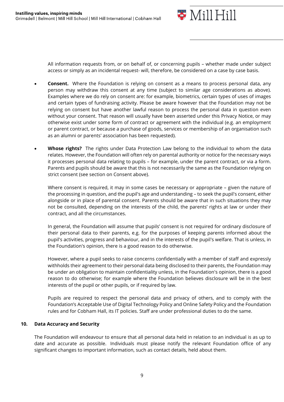

All information requests from, or on behalf of, or concerning pupils – whether made under subject access or simply as an incidental request- will, therefore, be considered on a case by case basis.

- **Consent.** Where the Foundation is relying on consent as a means to process personal data, any person may withdraw this consent at any time (subject to similar age considerations as above). Examples where we do rely on consent are: for example, biometrics, certain types of uses of images and certain types of fundraising activity. Please be aware however that the Foundation may not be relying on consent but have another lawful reason to process the personal data in question even without your consent. That reason will usually have been asserted under this Privacy Notice, or may otherwise exist under some form of contract or agreement with the individual (e.g. an employment or parent contract, or because a purchase of goods, services or membership of an organisation such as an alumni or parents' association has been requested).
- **Whose rights?** The rights under Data Protection Law belong to the individual to whom the data relates. However, the Foundation will often rely on parental authority or notice for the necessary ways it processes personal data relating to pupils – for example, under the parent contract, or via a form. Parents and pupils should be aware that this is not necessarily the same as the Foundation relying on strict consent (see section on Consent above).

Where consent is required, it may in some cases be necessary or appropriate – given the nature of the processing in question, and the pupil's age and understanding – to seek the pupil's consent, either alongside or in place of parental consent. Parents should be aware that in such situations they may not be consulted, depending on the interests of the child, the parents' rights at law or under their contract, and all the circumstances.

In general, the Foundation will assume that pupils' consent is not required for ordinary disclosure of their personal data to their parents, e.g. for the purposes of keeping parents informed about the pupil's activities, progress and behaviour, and in the interests of the pupil's welfare. That is unless, in the Foundation's opinion, there is a good reason to do otherwise.

However, where a pupil seeks to raise concerns confidentially with a member of staff and expressly withholds their agreement to their personal data being disclosed to their parents, the Foundation may be under an obligation to maintain confidentiality unless, in the Foundation's opinion, there is a good reason to do otherwise; for example where the Foundation believes disclosure will be in the best interests of the pupil or other pupils, or if required by law.

Pupils are required to respect the personal data and privacy of others, and to comply with the Foundation's Acceptable Use of Digital Technology Policy and Online Safety Policy and the Foundation rules and for Cobham Hall, its IT policies. Staff are under professional duties to do the same.

#### **10. Data Accuracy and Security**

The Foundation will endeavour to ensure that all personal data held in relation to an individual is as up to date and accurate as possible. Individuals must please notify the relevant Foundation office of any significant changes to important information, such as contact details, held about them.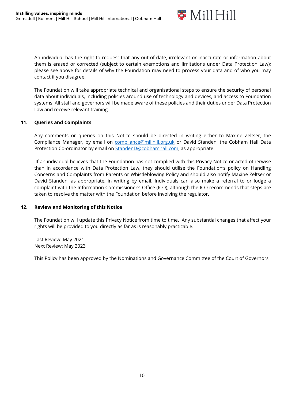

An individual has the right to request that any out-of-date, irrelevant or inaccurate or information about them is erased or corrected (subject to certain exemptions and limitations under Data Protection Law); please see above for details of why the Foundation may need to process your data and of who you may contact if you disagree.

The Foundation will take appropriate technical and organisational steps to ensure the security of personal data about individuals, including policies around use of technology and devices, and access to Foundation systems. All staff and governors will be made aware of these policies and their duties under Data Protection Law and receive relevant training.

#### **11. Queries and Complaints**

Any comments or queries on this Notice should be directed in writing either to Maxine Zeltser, the Compliance Manager, by email on [compliance@millhill.org.uk](mailto:compliance@millhill.org.uk) or David Standen, the Cobham Hall Data Protection Co-ordinator by email on [StandenD@cobhamhall.com,](mailto:StandenD@cobhamhall.com) as appropriate.

If an individual believes that the Foundation has not complied with this Privacy Notice or acted otherwise than in accordance with Data Protection Law, they should utilise the Foundation's policy on Handling Concerns and Complaints from Parents or Whistleblowing Policy and should also notify Maxine Zeltser or David Standen, as appropriate, in writing by email. Individuals can also make a referral to or lodge a complaint with the Information Commissioner's Office (ICO), although the ICO recommends that steps are taken to resolve the matter with the Foundation before involving the regulator.

#### **12. Review and Monitoring of this Notice**

The Foundation will update this Privacy Notice from time to time. Any substantial changes that affect your rights will be provided to you directly as far as is reasonably practicable.

Last Review: May 2021 Next Review: May 2023

This Policy has been approved by the Nominations and Governance Committee of the Court of Governors